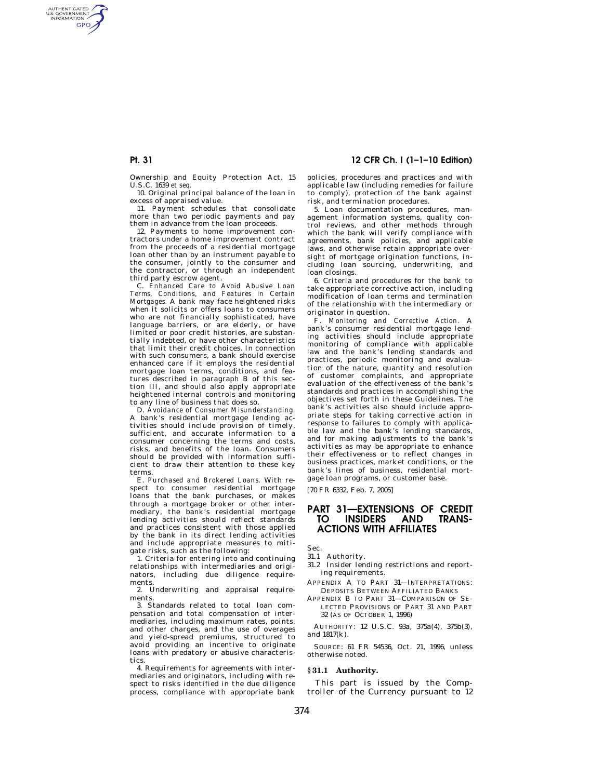AUTHENTICATED<br>U.S. GOVERNMENT<br>INFORMATION **GPO** 

> Ownership and Equity Protection Act. 15 U.S.C. 1639 *et seq.*

> 10. Original principal balance of the loan in excess of appraised value.

> 11. Payment schedules that consolidate more than two periodic payments and pay them in advance from the loan proceeds.

> 12. Payments to home improvement contractors under a home improvement contract from the proceeds of a residential mortgage loan other than by an instrument payable to the consumer, jointly to the consumer and the contractor, or through an independent third party escrow agent.

> C. *Enhanced Care to Avoid Abusive Loan Terms, Conditions, and Features in Certain Mortgages.* A bank may face heightened risks when it solicits or offers loans to consumers who are not financially sophisticated, have language barriers, or are elderly, or have limited or poor credit histories, are substantially indebted, or have other characteristics that limit their credit choices. In connection with such consumers, a bank should exercise enhanced care if it employs the residential mortgage loan terms, conditions, and features described in paragraph B of this section III, and should also apply appropriate heightened internal controls and monitoring to any line of business that does so.

> D. *Avoidance of Consumer Misunderstanding.*  A bank's residential mortgage lending activities should include provision of timely, sufficient, and accurate information to a consumer concerning the terms and costs, risks, and benefits of the loan. Consumers should be provided with information sufficient to draw their attention to these key terms.

> E. *Purchased and Brokered Loans.* With respect to consumer residential mortgage loans that the bank purchases, or makes through a mortgage broker or other intermediary, the bank's residential mortgage lending activities should reflect standards and practices consistent with those applied by the bank in its direct lending activities and include appropriate measures to mitigate risks, such as the following:

> 1. Criteria for entering into and continuing relationships with intermediaries and originators, including due diligence requirements.

> 2. Underwriting and appraisal requirements.

> 3. Standards related to total loan compensation and total compensation of intermediaries, including maximum rates, points, and other charges, and the use of overages and yield-spread premiums, structured to avoid providing an incentive to originate loans with predatory or abusive characteristics.

> 4. Requirements for agreements with intermediaries and originators, including with respect to risks identified in the due diligence process, compliance with appropriate bank

# **Pt. 31 12 CFR Ch. I (1–1–10 Edition)**

policies, procedures and practices and with applicable law (including remedies for failure to comply), protection of the bank against risk, and termination procedures.

5. Loan documentation procedures, management information systems, quality control reviews, and other methods through which the bank will verify compliance with agreements, bank policies, and applicable laws, and otherwise retain appropriate oversight of mortgage origination functions, including loan sourcing, underwriting, and loan closings.

6. Criteria and procedures for the bank to take appropriate corrective action, including modification of loan terms and termination of the relationship with the intermediary or originator in question.

F. *Monitoring and Corrective Action.* A bank's consumer residential mortgage lending activities should include appropriate monitoring of compliance with applicable law and the bank's lending standards and practices, periodic monitoring and evaluation of the nature, quantity and resolution of customer complaints, and appropriate evaluation of the effectiveness of the bank's standards and practices in accomplishing the objectives set forth in these Guidelines. The bank's activities also should include appropriate steps for taking corrective action in response to failures to comply with applica-<br>ble law and the bank's lending standards. law and the bank's lending standards, and for making adjustments to the bank's activities as may be appropriate to enhance their effectiveness or to reflect changes in business practices, market conditions, or the bank's lines of business, residential mortgage loan programs, or customer base.

[70 FR 6332, Feb. 7, 2005]

# **PART 31—EXTENSIONS OF CREDIT TO INSIDERS AND TRANS-ACTIONS WITH AFFILIATES**

Sec.

- 31.1 Authority.
- 31.2 Insider lending restrictions and reporting requirements.
- APPENDIX A TO PART 31—INTERPRETATIONS: DEPOSITS BETWEEN AFFILIATED BANKS
- APPENDIX B TO PART 31—COMPARISON OF SE-LECTED PROVISIONS OF PART 31 AND PART 32 (AS OF OCTOBER 1, 1996)

AUTHORITY: 12 U.S.C. 93a, 375a(4), 375b(3), and 1817(k).

SOURCE: 61 FR 54536, Oct. 21, 1996, unless otherwise noted.

#### **§ 31.1 Authority.**

This part is issued by the Comptroller of the Currency pursuant to 12